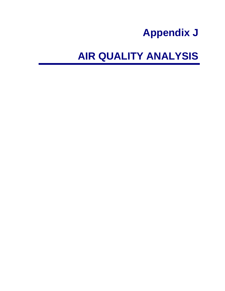

**AIR QUALITY ANALYSIS**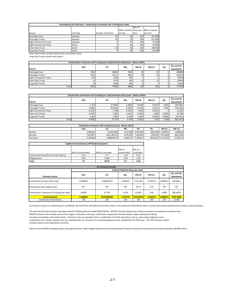|                                                          |                  | Assumptions for Emissions - Construction Commuter and Trucking (on-road) |                           |         |                       |
|----------------------------------------------------------|------------------|--------------------------------------------------------------------------|---------------------------|---------|-----------------------|
|                                                          |                  |                                                                          |                           | Days of |                       |
|                                                          |                  |                                                                          | Miles Traveled Travel per |         | <b>Miles Traveled</b> |
| Source                                                   | <b>Fuel Type</b> | Number of Vehicles                                                       | per Day                   | Year    | per Year              |
| Passenger Cars                                           | Gasoline         | 60                                                                       | 20                        | 260     | 312,000               |
| Passenger Trucks                                         | Gasoline         | 60                                                                       | 20                        | 260     | 312,000               |
| <b>Light Commercial Trucks</b>                           | Gasoline         |                                                                          | 20                        | 260     | 15,600                |
| <b>Light Commercial Trucks</b>                           | Diesel           |                                                                          | 40                        | 260     | 52,000                |
| <b>Short-Haul Trucks</b>                                 | Diesel           | 20                                                                       | 40                        | 260     | 208,000               |
| Long-Haul Trucks                                         | Diesel           |                                                                          | 80                        | 260     | 83,200                |
| Short-Haul Trucks includes dump trucks and cement trucks |                  |                                                                          |                           |         |                       |

Long-Haul Trucks include semi-trailers

| Construction Commuter and Trucking (on-road) Emissions (Ibs/year) - Moves 2014a |            |       |      |              |               |     |                                     |
|---------------------------------------------------------------------------------|------------|-------|------|--------------|---------------|-----|-------------------------------------|
|                                                                                 | <b>VOC</b> | CO    | NO.  | <b>PM-10</b> | <b>PM-2.5</b> | SO, | CO <sub>2</sub> and CO <sub>2</sub> |
| Source                                                                          |            |       |      |              |               |     | <b>Equivalents</b>                  |
| Passenger Cars                                                                  | 3550       | 24861 | 2925 | 39           | 35            |     | 280889                              |
| Passenger Trucks                                                                | 5791       | 41311 | 4865 | 49           | 43            |     | 316321                              |
| <b>Light Commercial Trucks</b>                                                  | 447        | 3536  | 395  |              |               |     | 28670                               |
| <b>Short-Haul Trucks</b>                                                        | 15         | 3770  | 335  | 13           | 12            |     | 85992                               |
| Long-Haul Trucks                                                                | 10         | 2008  | 166  |              |               |     | 59523                               |
| Total                                                                           | 9813       | 75486 | 8686 | 113          | 100           |     | 771395                              |

|                                | Construction Commuter and Trucking (on-road) Emissions (tons/year) - Moves 2014a |         |        |              |               |                 |                                                           |
|--------------------------------|----------------------------------------------------------------------------------|---------|--------|--------------|---------------|-----------------|-----------------------------------------------------------|
| Source                         | <b>VOC</b>                                                                       | CO      | NO.    | <b>PM-10</b> | <b>PM-2.5</b> | SO <sub>2</sub> | CO <sub>2</sub> and CO <sub>2</sub><br><b>Equivalents</b> |
| Passenger Cars                 | 1.775                                                                            | 12.4305 | 1.4625 | 0.0195       | 0.0175        | 0.001           | 140.4445                                                  |
| Passenger Trucks               | 2.8955                                                                           | 20.6555 | 2.4325 | 0.0245       | 0.0215        | 0.001           | 158.1605                                                  |
| <b>Light Commercial Trucks</b> | 0.2235                                                                           | 1.768   | 0.1975 | 0.002        | 0.0015        |                 | 14.335                                                    |
| <b>Short-Haul Trucks</b>       | 0.0075                                                                           | 1.885   | 0.1675 | 0.0065       | 0.006         | 0.0005          | 42.996                                                    |
| Long-Haul Trucks               | 0.005                                                                            | 1.004   | 0.083  | 0.004        | 0.0035        | 0.0005          | 29.7615                                                   |
| Total                          | 4.9065                                                                           | 37.743  | 4.343  | 0.0565       | 0.05          | 0.003           | 385.6975                                                  |

|           |            | Combustion Emissions (off-road) (tons/year) - Moves 2014a |          |                 |                 |                   |               |
|-----------|------------|-----------------------------------------------------------|----------|-----------------|-----------------|-------------------|---------------|
|           | <b>VOC</b> | CO                                                        | NO.      | SO <sub>2</sub> | CO <sub>2</sub> | <b>PM-10</b>      | <b>PM-2.5</b> |
| lbs/day   | 2.883951   | 12.6451366                                                | 22.91798 | 0.031292        |                 | 5550.409 1.897855 | 1.840919      |
| lbs/year  | 720.9877   | 3161.284151                                               | 5729.494 | 7.822945        |                 | 1387602 474.4636  | 460.2296      |
| tons/year | 0.360494   | 1.580642075                                               | 2.864747 | 0.003911        |                 | 693.8011 0.237232 | 0.230115      |

|                                         | <b>Fugitive Dust Emissions (off-Road) (tons/year)</b> |                  |              |            |
|-----------------------------------------|-------------------------------------------------------|------------------|--------------|------------|
|                                         |                                                       |                  |              |            |
|                                         |                                                       |                  | PM-2.5       | PM-2.5     |
|                                         | PM-10 uncontrolled                                    | PM-10 controlled | uncontrolled | controlled |
| Construction Area (0.19 ton PM-10/acre) | 11.4                                                  | 5.7              | 1.14         | 0.57       |
| <b>Staging Areas</b>                    | 29.6                                                  | 14.82            | 2.96         | 1.48       |
| <b>Total</b>                            | 41                                                    | 20.52            | 4.1          | 2.05       |

|                                            |            | <b>Air Emissions Results</b> |                                     |              |               |                 |                                                           |
|--------------------------------------------|------------|------------------------------|-------------------------------------|--------------|---------------|-----------------|-----------------------------------------------------------|
|                                            |            |                              | Criteria Pollutants (tons per year) |              |               |                 |                                                           |
| <b>Emission Source</b>                     | <b>VOC</b> | CO                           | NO.                                 | <b>PM-10</b> | <b>PM-2.5</b> | SO <sub>2</sub> | CO <sub>2</sub> and CO <sub>2</sub><br><b>Equivalents</b> |
| Combustion Emissions (off-road)            | 0.360494   | 1.580642075                  | 2.864747                            | 0.237232     | 0.230115      | 0.003911        | 693.8011                                                  |
| <b>Construction Site-Fugitive Dust</b>     | <b>NA</b>  | <b>NA</b>                    | <b>NA</b>                           | 20.52        | 2.05          | <b>NA</b>       | <b>NA</b>                                                 |
| Construction Commuter & Trucking (on-road) | 4.9065     | 37.743                       | 4.343                               | 0.0565       | 0.05          | 0.003           | 385.6975                                                  |
| <b>Total Emissions</b>                     | 5.266994   | 39.32364208                  | 7.207747                            | 20.813732    | 2.330115      | 0.006911        | 1079.4986                                                 |
| De Minimis Threshold (1)                   | 100        | 100                          | 100                                 | 100          | 100           | 100             | 25,000                                                    |

(1) Summers County is in attainment for all NAAQS; 40 CFR 93 Part 153 defines de minimis levels or the minimum threshold for which a conformity must be performed for various criteria pollutant.

On-road and off-road emissions were generated by USEPA preferred model MOVES2014a. MOVES simulates daily motor vehicle operations and produces emissions rates.

MOVES emission rates include sources from engine combustion, tire wear, brake wear, evaporative fuel permeation, vapor venting and leaking

 includes exhaust and evaporative emissions. (running and parking), and crankcase loss. Emissions rates are averages from a combination of vehicle operations such as: stop and go, highway travel, acceleration at on-ramps, parking, start-up, extended idle, etc. Emissions for nonroad equipment were modeled for the 2014 year. The VOC Emission Factors

Data for some MOVES modeling inputs were gathered from West Virginia Department of Environmental Protection emissions inventory technical documentation (WVDEP 2011).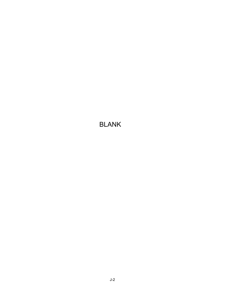#### BLANK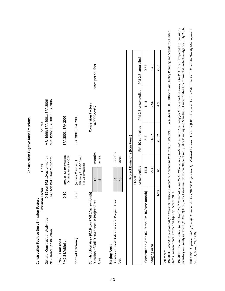**Construction Fugitive Dust Emissions Construction Fugitive Dust Emissions** 

| Construction Fugitive Dust Emission Factors                                                          | <b>Emission Factor</b>                                 | Units                                            | Source                                                       |                    |
|------------------------------------------------------------------------------------------------------|--------------------------------------------------------|--------------------------------------------------|--------------------------------------------------------------|--------------------|
| General Construction Activities<br>New Road Construction                                             | 0.42 ton PM-10/acre-month<br>0.19 ton PM-10/acre-month |                                                  | MRI 1996; EPA 2001; EPA 2006<br>MRI 1996; EPA 2001; EPA 2006 |                    |
| PM2.5 Emissions<br>PM2.5 Multiplier                                                                  | 0.10                                                   | (10% of PM-10 emissions<br>Assumed to be PM-2.5) | EPA 2001; EPA 2006                                           |                    |
| Control Efficiency                                                                                   | (assume 50% control<br>PM-2.5 emissions)<br>0.50       | Efficiency for PM-10 and                         | EPA 2001; EPA 2006                                           |                    |
| Construction Area (0.19 ton PM10/acre-month)<br>Duration of Soil Disturbance in Project Area<br>Area | $\overline{12}$<br>ഥ                                   | months<br>acres                                  | <b>Conversion Factors</b><br>0.000022957                     | acres per sq. feet |
| Duration of Soil Disturbance in Project Area<br>Staging Areas<br>Area                                | $\frac{3}{2}$<br>$\overline{2}$                        | months<br>acres                                  |                                                              |                    |
|                                                                                                      |                                                        | Project Emissions (tons/year)                    |                                                              |                    |

| r |
|---|
|   |
|   |
|   |
|   |
|   |
| ۴ |
|   |

EPA 2001. Procedures Document for National Emissions Inventory, Criteria Air Pollutants, 1985-1999. EPA-454/R-01-006. Office of Air Quality Planning and Standards, United<br>States Environmental Protection Agency. March 2001. EPA 2001. *Procedures Document for National Emissions Inventory, Criteria Air Pollutants*, 1985-1999. EPA-454/R-01-006. Office of Air Quality Planning and Standards, United States Environmental Protection Agency. March 2001.

**Total 41 20.52 4.1 2.05** 

**Total** 

14.82 20.52

PM-10

uncontrolled

Construction Area (0.19 ton PM 10/acre-month) 11.4 5.7 1.14 0.57 Staging Area 2.96 2.96 14.82 14.82 2.96 2.96 2.48

11.4 29.6  $41$ 

Construction Area (0.19 ton PM 10/acre-month)

Staging Area

5.7

uncontrolled PM-10 controlled PM-2.5 uncontrolled PM-2.5 controlled

PM-10 controlled

PM-2.5 uncontrolled 1.14 2.96  $4.1$ 

PM-2.5 controlled

1.48 2.05

0.57

EPA 2006. Documentation for the Final 2002 Nonpoint Sector (Feb. 2006 version) National Emission Inventory for Criteria and Hazardous Air Pollutants. Prepared for: Emissions<br>Inventory and Analysis Group (C339-02) Air Quali EPA 2006. *Documentation for the Final 2002 Nonpoint Sector (Feb. 2006 version) National Emission Inventory for Criteria and Hazardous Air Pollutants.* Prepared for: Emissions Inventory and Analysis Group (C339-02) Air Quality Assessment Division Office of Air Quality Planning and Standards, United States Environmental Protection Agency. July 2006.

MRI 1996. *Improvement of Specific Emission Factors (BACM Project No. 1)*. Midwest Research Institute (MRI). Prepared for the California South Coast Air Quality Management<br>District, March 29, 1996. MRI 1996. *Improvement of Specific Emission Factors (BACM Project No. 1).* Midwest Research Institute (MRI). Prepared for the California South Coast Air Quality Management District, March 29, 1996.